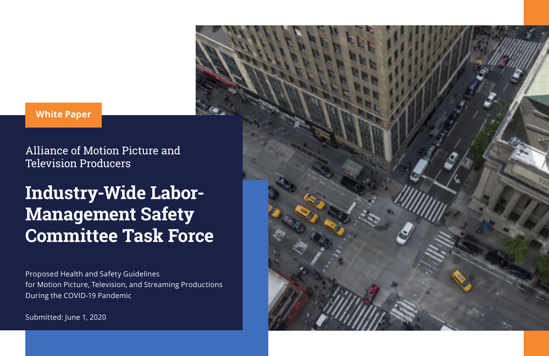## **White Paper**

Alliance of Motion Picture and Television Producers

# **Industry-Wide Labor-Management Safety Committee Task Force**

Proposed Health and Safety Guidelines for Motion Picture, Television, and Streaming Productions During the COVID-19 Pandemic

Submitted: June 1, 2020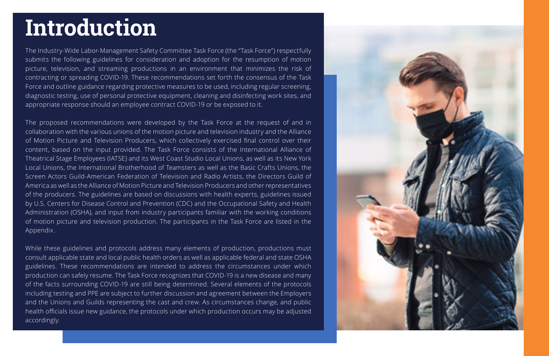# **Introduction**

The Industry-Wide Labor-Management Safety Committee Task Force (the "Task Force") respectfully submits the following guidelines for consideration and adoption for the resumption of motion picture, television, and streaming productions in an environment that minimizes the risk of contracting or spreading COVID-19. These recommendations set forth the consensus of the Task Force and outline guidance regarding protective measures to be used, including regular screening, diagnostic testing, use of personal protective equipment, cleaning and disinfecting work sites, and appropriate response should an employee contract COVID-19 or be exposed to it.

The proposed recommendations were developed by the Task Force at the request of and in collaboration with the various unions of the motion picture and television industry and the Alliance of Motion Picture and Television Producers, which collectively exercised final control over their content, based on the input provided. The Task Force consists of the International Alliance of Theatrical Stage Employees (IATSE) and its West Coast Studio Local Unions, as well as its New York Local Unions, the International Brotherhood of Teamsters as well as the Basic Crafts Unions, the Screen Actors Guild-American Federation of Television and Radio Artists, the Directors Guild of America as well as the Alliance of Motion Picture and Television Producers and other representatives of the producers. The guidelines are based on discussions with health experts, guidelines issued by U.S. Centers for Disease Control and Prevention (CDC) and the Occupational Safety and Health Administration (OSHA), and input from industry participants familiar with the working conditions of motion picture and television production. The participants in the Task Force are listed in the Appendix.

While these guidelines and protocols address many elements of production, productions must consult applicable state and local public health orders as well as applicable federal and state OSHA guidelines. These recommendations are intended to address the circumstances under which production can safely resume. The Task Force recognizes that COVID-19 is a new disease and many of the facts surrounding COVID-19 are still being determined. Several elements of the protocols including testing and PPE are subject to further discussion and agreement between the Employers and the Unions and Guilds representing the cast and crew. As circumstances change, and public health officials issue new guidance, the protocols under which production occurs may be adjusted accordingly.

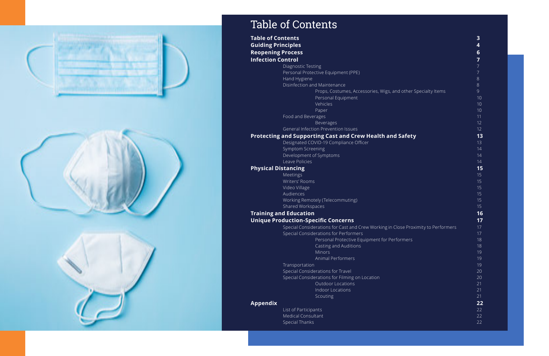

# Table of Contents

| Table of Contents         |                                                                                   | з                       |
|---------------------------|-----------------------------------------------------------------------------------|-------------------------|
| <b>Guiding Principles</b> |                                                                                   | $\overline{\mathbf{4}}$ |
|                           | <b>Reopening Process</b>                                                          | 6                       |
| <b>Infection Control</b>  |                                                                                   | $\overline{7}$          |
|                           | Diagnostic Testing                                                                | $7\overline{ }$         |
|                           | Personal Protective Equipment (PPE)                                               | $7\overline{ }$         |
|                           | Hand Hygiene                                                                      | 8                       |
|                           | Disinfection and Maintenance                                                      | 8                       |
|                           | Props, Costumes, Accessories, Wigs, and other Specialty Items                     | 9                       |
|                           | Personal Equipment                                                                | 10                      |
|                           | Vehicles                                                                          | 10                      |
|                           | Paper                                                                             | 10                      |
|                           | Food and Beverages                                                                | 11                      |
|                           | Beverages                                                                         | 12                      |
|                           | General Infection Prevention Issues                                               | 12                      |
|                           | Protecting and Supporting Cast and Crew Health and Safety                         | 13                      |
|                           | Designated COVID-19 Compliance Officer                                            | 13                      |
|                           | Symptom Screening                                                                 | 14                      |
|                           | Development of Symptoms                                                           | 14                      |
|                           | Leave Policies                                                                    | 14                      |
|                           | <b>Physical Distancing</b>                                                        | 15                      |
|                           | Meetings                                                                          | 15                      |
|                           | Writers' Rooms                                                                    | 15                      |
|                           | Video Village                                                                     | 15                      |
|                           | Audiences                                                                         | 15                      |
|                           | Working Remotely (Telecommuting)                                                  | 15                      |
|                           | Shared Workspaces                                                                 | 15                      |
|                           | <b>Training and Education</b>                                                     | 16                      |
|                           | <b>Unique Production-Specific Concerns</b>                                        | 17                      |
|                           | Special Considerations for Cast and Crew Working in Close Proximity to Performers | 17                      |
|                           | Special Considerations for Performers                                             | 17                      |
|                           | Personal Protective Equipment for Performers                                      | 18                      |
|                           | Casting and Auditions                                                             | 18                      |
|                           | Minors                                                                            | 19                      |
|                           | Animal Performers                                                                 | 19                      |
|                           | Transportation                                                                    | 19                      |
|                           | Special Considerations for Travel                                                 | 20                      |
|                           | Special Considerations for Filming on Location                                    | 20                      |
|                           | <b>Outdoor Locations</b>                                                          | 21                      |
|                           | Indoor Locations                                                                  | 21                      |
|                           | Scouting                                                                          | 21                      |
| Appendix                  |                                                                                   | 22                      |
|                           | <b>List of Participants</b>                                                       | 22                      |
|                           | <b>Medical Consultant</b>                                                         | 22                      |
|                           | <b>Special Thanks</b>                                                             | 22                      |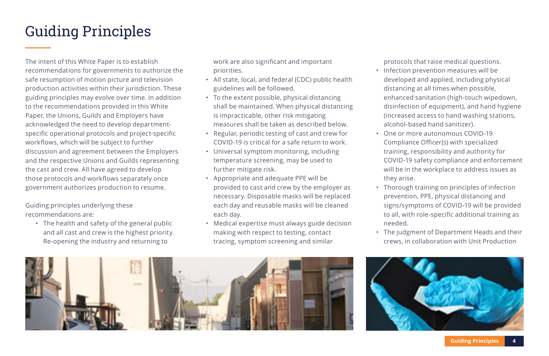# Guiding Principles

The intent of this White Paper is to establish recommendations for governments to authorize the safe resumption of motion picture and television production activities within their jurisdiction. These guiding principles may evolve over time. In addition to the recommendations provided in this White Paper, the Unions, Guilds and Employers have acknowledged the need to develop departmentspecific operational protocols and project-specific workflows, which will be subject to further discussion and agreement between the Employers and the respective Unions and Guilds representing the cast and crew. All have agreed to develop those protocols and workflows separately once government authorizes production to resume.

Guiding principles underlying these recommendations are:

• The health and safety of the general public and all cast and crew is the highest priority. Re-opening the industry and returning to

work are also significant and important priorities.

- All state, local, and federal (CDC) public health guidelines will be followed.
- To the extent possible, physical distancing shall be maintained. When physical distancing is impracticable, other risk mitigating measures shall be taken as described below.
- Regular, periodic testing of cast and crew for COVID-19 is critical for a safe return to work.
- Universal symptom monitoring, including temperature screening, may be used to further mitigate risk.
- Appropriate and adequate PPE will be provided to cast and crew by the employer as necessary. Disposable masks will be replaced each day and reusable masks will be cleaned each day.
- Medical expertise must always guide decision making with respect to testing, contact tracing, symptom screening and similar

protocols that raise medical questions.

- Infection prevention measures will be developed and applied, including physical distancing at all times when possible, enhanced sanitation (high-touch wipedown, disinfection of equipment), and hand hygiene (increased access to hand washing stations, alcohol-based hand sanitizer).
- One or more autonomous COVID-19 Compliance Officer(s) with specialized training, responsibility and authority for COVID-19 safety compliance and enforcement will be in the workplace to address issues as they arise.
- Thorough training on principles of infection prevention, PPE, physical distancing and signs/symptoms of COVID-19 will be provided to all, with role-specific additional training as needed.
- The judgment of Department Heads and their crews, in collaboration with Unit Production



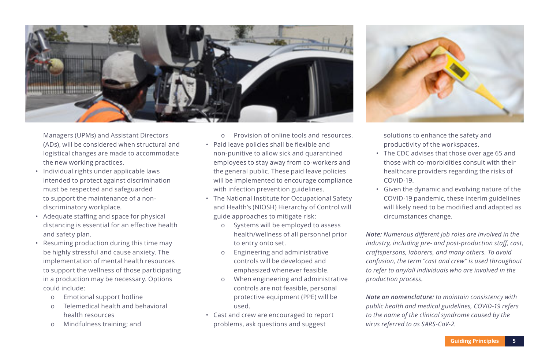

Managers (UPMs) and Assistant Directors (ADs), will be considered when structural and logistical changes are made to accommodate the new working practices.

- Individual rights under applicable laws intended to protect against discrimination must be respected and safeguarded to support the maintenance of a nondiscriminatory workplace.
- Adequate staffing and space for physical distancing is essential for an effective health and safety plan.
- Resuming production during this time may be highly stressful and cause anxiety. The implementation of mental health resources to support the wellness of those participating in a production may be necessary. Options could include:
	- ο Emotional support hotline
	- ο Telemedical health and behavioral health resources
	- ο Mindfulness training; and
- ο Provision of online tools and resources.
- Paid leave policies shall be flexible and non-punitive to allow sick and quarantined employees to stay away from co-workers and the general public. These paid leave policies will be implemented to encourage compliance with infection prevention guidelines.
- The National Institute for Occupational Safety and Health's (NIOSH) Hierarchy of Control will guide approaches to mitigate risk:
	- o Systems will be employed to assess health/wellness of all personnel prior to entry onto set.
	- o Engineering and administrative controls will be developed and emphasized whenever feasible.
	- o When engineering and administrative controls are not feasible, personal protective equipment (PPE) will be used.
- Cast and crew are encouraged to report problems, ask questions and suggest



solutions to enhance the safety and productivity of the workspaces.

- The CDC advises that those over age 65 and those with co-morbidities consult with their healthcare providers regarding the risks of COVID-19.
- Given the dynamic and evolving nature of the COVID-19 pandemic, these interim guidelines will likely need to be modified and adapted as circumstances change.

*Note: Numerous different job roles are involved in the industry, including pre- and post-production staff, cast, craftspersons, laborers, and many others. To avoid confusion, the term "cast and crew" is used throughout to refer to any/all individuals who are involved in the production process.*

*Note on nomenclature: to maintain consistency with public health and medical guidelines, COVID-19 refers to the name of the clinical syndrome caused by the virus referred to as SARS-CoV-2.*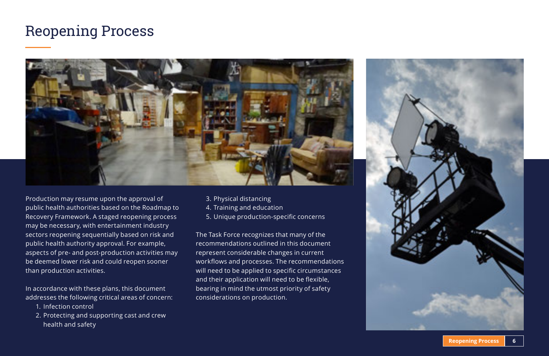# Reopening Process



Production may resume upon the approval of public health authorities based on the Roadmap to Recovery Framework. A staged reopening process may be necessary, with entertainment industry sectors reopening sequentially based on risk and public health authority approval. For example, aspects of pre- and post-production activities may be deemed lower risk and could reopen sooner than production activities.

In accordance with these plans, this document addresses the following critical areas of concern:

- 1. Infection control
- 2. Protecting and supporting cast and crew health and safety
- 3. Physical distancing
- 4. Training and education
- 5. Unique production-specific concerns

The Task Force recognizes that many of the recommendations outlined in this document represent considerable changes in current workflows and processes. The recommendations will need to be applied to specific circumstances and their application will need to be flexible, bearing in mind the utmost priority of safety considerations on production.



**Reopening Process 6**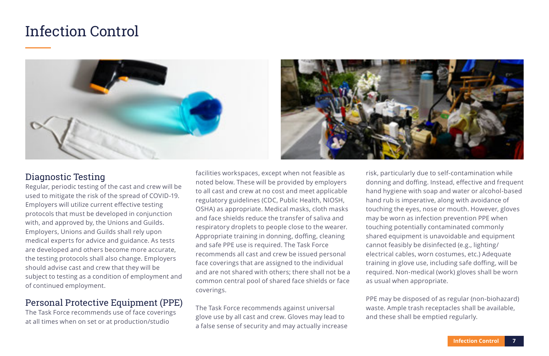# Infection Control





## Diagnostic Testing

Regular, periodic testing of the cast and crew will be used to mitigate the risk of the spread of COVID-19. Employers will utilize current effective testing protocols that must be developed in conjunction with, and approved by, the Unions and Guilds. Employers, Unions and Guilds shall rely upon medical experts for advice and guidance. As tests are developed and others become more accurate, the testing protocols shall also change. Employers should advise cast and crew that they will be subject to testing as a condition of employment and of continued employment.

### Personal Protective Equipment (PPE)

The Task Force recommends use of face coverings at all times when on set or at production/studio

facilities workspaces, except when not feasible as noted below. These will be provided by employers to all cast and crew at no cost and meet applicable regulatory guidelines (CDC, Public Health, NIOSH, OSHA) as appropriate. Medical masks, cloth masks and face shields reduce the transfer of saliva and respiratory droplets to people close to the wearer. Appropriate training in donning, doffing, cleaning and safe PPE use is required. The Task Force recommends all cast and crew be issued personal face coverings that are assigned to the individual and are not shared with others; there shall not be a common central pool of shared face shields or face coverings.

The Task Force recommends against universal glove use by all cast and crew. Gloves may lead to a false sense of security and may actually increase

risk, particularly due to self-contamination while donning and doffing. Instead, effective and frequent hand hygiene with soap and water or alcohol-based hand rub is imperative, along with avoidance of touching the eyes, nose or mouth. However, gloves may be worn as infection prevention PPE when touching potentially contaminated commonly shared equipment is unavoidable and equipment cannot feasibly be disinfected (e.g., lighting/ electrical cables, worn costumes, etc.) Adequate training in glove use, including safe doffing, will be required. Non-medical (work) gloves shall be worn as usual when appropriate.

PPE may be disposed of as regular (non-biohazard) waste. Ample trash receptacles shall be available, and these shall be emptied regularly.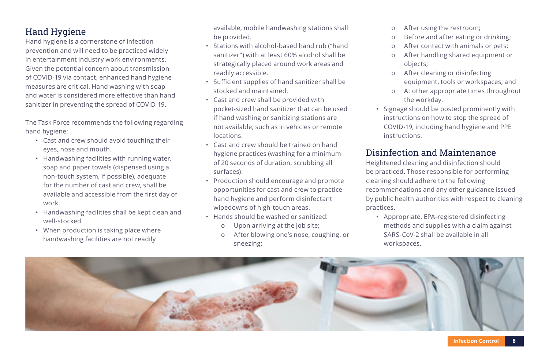### Hand Hygiene

Hand hygiene is a cornerstone of infection prevention and will need to be practiced widely in entertainment industry work environments. Given the potential concern about transmission of COVID-19 via contact, enhanced hand hygiene measures are critical. Hand washing with soap and water is considered more effective than hand sanitizer in preventing the spread of COVID-19.

The Task Force recommends the following regarding hand hygiene:

- Cast and crew should avoid touching their eyes, nose and mouth.
- Handwashing facilities with running water, soap and paper towels (dispensed using a non-touch system, if possible), adequate for the number of cast and crew, shall be available and accessible from the first day of work.
- Handwashing facilities shall be kept clean and well-stocked.
- When production is taking place where handwashing facilities are not readily

available, mobile handwashing stations shall be provided.

- Stations with alcohol-based hand rub ("hand sanitizer") with at least 60% alcohol shall be strategically placed around work areas and readily accessible.
- Sufficient supplies of hand sanitizer shall be stocked and maintained.
- Cast and crew shall be provided with pocket-sized hand sanitizer that can be used if hand washing or sanitizing stations are not available, such as in vehicles or remote locations.
- Cast and crew should be trained on hand hygiene practices (washing for a minimum of 20 seconds of duration, scrubbing all surfaces).
- Production should encourage and promote opportunities for cast and crew to practice hand hygiene and perform disinfectant wipedowns of high-touch areas.
- Hands should be washed or sanitized:
	- ο Upon arriving at the job site;
	- ο After blowing one's nose, coughing, or sneezing;
- ο After using the restroom;
- ο Before and after eating or drinking;
- ο After contact with animals or pets;
- ο After handling shared equipment or objects;
- ο After cleaning or disinfecting equipment, tools or workspaces; and
- ο At other appropriate times throughout the workday.
- Signage should be posted prominently with instructions on how to stop the spread of COVID-19, including hand hygiene and PPE instructions.

## Disinfection and Maintenance

Heightened cleaning and disinfection should be practiced. Those responsible for performing cleaning should adhere to the following recommendations and any other guidance issued by public health authorities with respect to cleaning practices.

• Appropriate, EPA-registered disinfecting methods and supplies with a claim against SARS-CoV-2 shall be available in all workspaces.

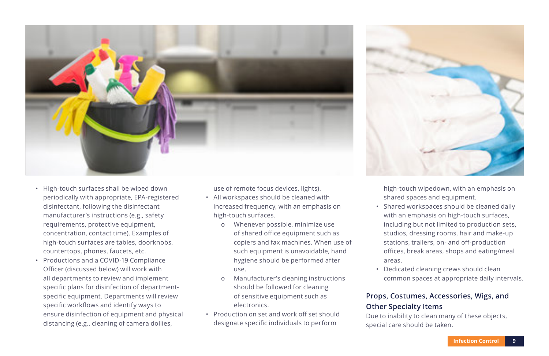

- High-touch surfaces shall be wiped down periodically with appropriate, EPA-registered disinfectant, following the disinfectant manufacturer's instructions (e.g., safety requirements, protective equipment, concentration, contact time). Examples of high-touch surfaces are tables, doorknobs, countertops, phones, faucets, etc.
- Productions and a COVID-19 Compliance Officer (discussed below) will work with all departments to review and implement specific plans for disinfection of departmentspecific equipment. Departments will review specific workflows and identify ways to ensure disinfection of equipment and physical distancing (e.g., cleaning of camera dollies,

use of remote focus devices, lights).

- All workspaces should be cleaned with increased frequency, with an emphasis on high-touch surfaces.
	- ο Whenever possible, minimize use of shared office equipment such as copiers and fax machines. When use of such equipment is unavoidable, hand hygiene should be performed after use.
	- ο Manufacturer's cleaning instructions should be followed for cleaning of sensitive equipment such as electronics.
- Production on set and work off set should designate specific individuals to perform



high-touch wipedown, with an emphasis on shared spaces and equipment.

- Shared workspaces should be cleaned daily with an emphasis on high-touch surfaces, including but not limited to production sets, studios, dressing rooms, hair and make-up stations, trailers, on- and off-production offices, break areas, shops and eating/meal areas.
- Dedicated cleaning crews should clean common spaces at appropriate daily intervals.

#### **Props, Costumes, Accessories, Wigs, and Other Specialty Items**

Due to inability to clean many of these objects, special care should be taken.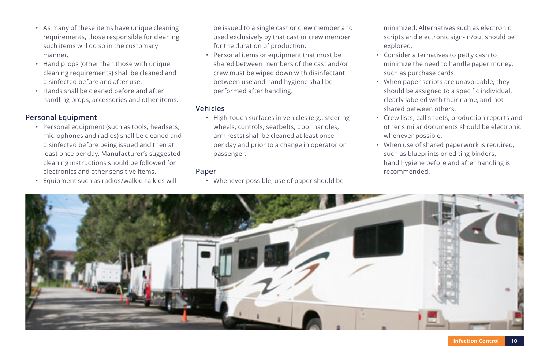- As many of these items have unique cleaning requirements, those responsible for cleaning such items will do so in the customary manner.
- Hand props (other than those with unique cleaning requirements) shall be cleaned and disinfected before and after use.
- Hands shall be cleaned before and after handling props, accessories and other items.

#### **Personal Equipment**

- Personal equipment (such as tools, headsets, microphones and radios) shall be cleaned and disinfected before being issued and then at least once per day. Manufacturer's suggested cleaning instructions should be followed for electronics and other sensitive items.
- Equipment such as radios/walkie-talkies will

be issued to a single cast or crew member and used exclusively by that cast or crew member for the duration of production.

• Personal items or equipment that must be shared between members of the cast and/or crew must be wiped down with disinfectant between use and hand hygiene shall be performed after handling.

#### **Vehicles**

• High-touch surfaces in vehicles (e.g., steering wheels, controls, seatbelts, door handles, arm rests) shall be cleaned at least once per day and prior to a change in operator or passenger.

#### **Paper**

• Whenever possible, use of paper should be

minimized. Alternatives such as electronic scripts and electronic sign-in/out should be explored.

- Consider alternatives to petty cash to minimize the need to handle paper money, such as purchase cards.
- When paper scripts are unavoidable, they should be assigned to a specific individual, clearly labeled with their name, and not shared between others.
- Crew lists, call sheets, production reports and other similar documents should be electronic whenever possible.
- When use of shared paperwork is required, such as blueprints or editing binders, hand hygiene before and after handling is recommended.

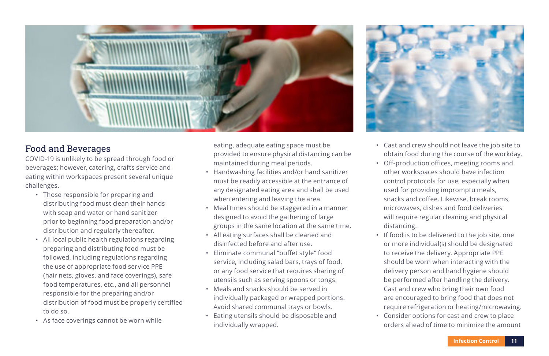

### Food and Beverages

COVID-19 is unlikely to be spread through food or beverages; however, catering, crafts service and eating within workspaces present several unique challenges.

- Those responsible for preparing and distributing food must clean their hands with soap and water or hand sanitizer prior to beginning food preparation and/or distribution and regularly thereafter.
- All local public health regulations regarding preparing and distributing food must be followed, including regulations regarding the use of appropriate food service PPE (hair nets, gloves, and face coverings), safe food temperatures, etc., and all personnel responsible for the preparing and/or distribution of food must be properly certified to do so.
- As face coverings cannot be worn while

eating, adequate eating space must be provided to ensure physical distancing can be maintained during meal periods.

- Handwashing facilities and/or hand sanitizer must be readily accessible at the entrance of any designated eating area and shall be used when entering and leaving the area.
- Meal times should be staggered in a manner designed to avoid the gathering of large groups in the same location at the same time.
- All eating surfaces shall be cleaned and disinfected before and after use.
- Eliminate communal "buffet style" food service, including salad bars, trays of food, or any food service that requires sharing of utensils such as serving spoons or tongs.
- Meals and snacks should be served in individually packaged or wrapped portions. Avoid shared communal trays or bowls.
- Eating utensils should be disposable and individually wrapped.



- Cast and crew should not leave the job site to obtain food during the course of the workday.
- Off-production offices, meeting rooms and other workspaces should have infection control protocols for use, especially when used for providing impromptu meals, snacks and coffee. Likewise, break rooms, microwaves, dishes and food deliveries will require regular cleaning and physical distancing.
- If food is to be delivered to the job site, one or more individual(s) should be designated to receive the delivery. Appropriate PPE should be worn when interacting with the delivery person and hand hygiene should be performed after handling the delivery. Cast and crew who bring their own food are encouraged to bring food that does not require refrigeration or heating/microwaving.
- Consider options for cast and crew to place orders ahead of time to minimize the amount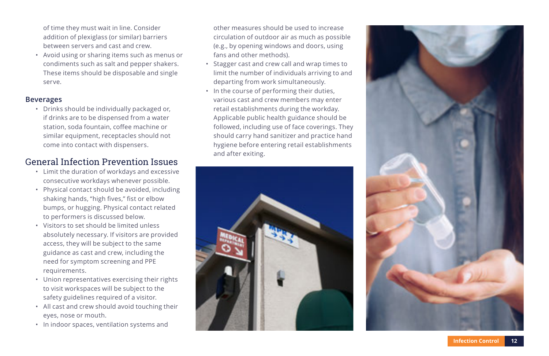of time they must wait in line. Consider addition of plexiglass (or similar) barriers between servers and cast and crew.

• Avoid using or sharing items such as menus or condiments such as salt and pepper shakers. These items should be disposable and single serve.

#### **Beverages**

• Drinks should be individually packaged or, if drinks are to be dispensed from a water station, soda fountain, coffee machine or similar equipment, receptacles should not come into contact with dispensers.

### General Infection Prevention Issues

- Limit the duration of workdays and excessive consecutive workdays whenever possible.
- Physical contact should be avoided, including shaking hands, "high fives," fist or elbow bumps, or hugging. Physical contact related to performers is discussed below.
- Visitors to set should be limited unless absolutely necessary. If visitors are provided access, they will be subject to the same guidance as cast and crew, including the need for symptom screening and PPE requirements.
- Union representatives exercising their rights to visit workspaces will be subject to the safety guidelines required of a visitor.
- All cast and crew should avoid touching their eyes, nose or mouth.
- In indoor spaces, ventilation systems and

other measures should be used to increase circulation of outdoor air as much as possible (e.g., by opening windows and doors, using fans and other methods).

- Stagger cast and crew call and wrap times to limit the number of individuals arriving to and departing from work simultaneously.
- In the course of performing their duties, various cast and crew members may enter retail establishments during the workday. Applicable public health guidance should be followed, including use of face coverings. They should carry hand sanitizer and practice hand hygiene before entering retail establishments and after exiting.



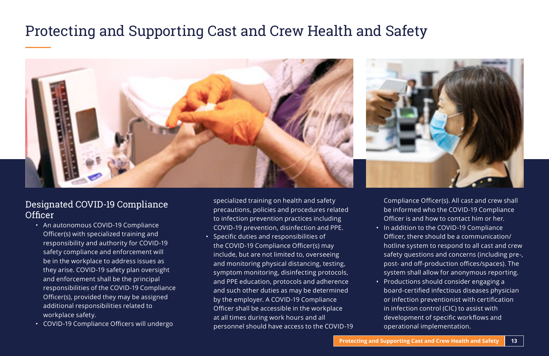# Protecting and Supporting Cast and Crew Health and Safety



### Designated COVID-19 Compliance **Officer**

- An autonomous COVID-19 Compliance Officer(s) with specialized training and responsibility and authority for COVID-19 safety compliance and enforcement will be in the workplace to address issues as they arise. COVID-19 safety plan oversight and enforcement shall be the principal responsibilities of the COVID-19 Compliance Officer(s), provided they may be assigned additional responsibilities related to workplace safety.
- COVID-19 Compliance Officers will undergo

specialized training on health and safety precautions, policies and procedures related to infection prevention practices including COVID-19 prevention, disinfection and PPE.

• Specific duties and responsibilities of the COVID-19 Compliance Officer(s) may include, but are not limited to, overseeing and monitoring physical distancing, testing, symptom monitoring, disinfecting protocols, and PPE education, protocols and adherence and such other duties as may be determined by the employer. A COVID-19 Compliance Officer shall be accessible in the workplace at all times during work hours and all personnel should have access to the COVID-19 Compliance Officer(s). All cast and crew shall be informed who the COVID-19 Compliance Officer is and how to contact him or her.

- In addition to the COVID-19 Compliance Officer, there should be a communication/ hotline system to respond to all cast and crew safety questions and concerns (including pre-, post- and off-production offices/spaces). The system shall allow for anonymous reporting.
- Productions should consider engaging a board-certified infectious diseases physician or infection preventionist with certification in infection control (CIC) to assist with development of specific workflows and operational implementation.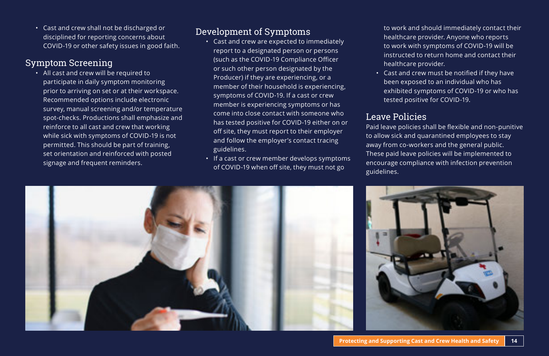• Cast and crew shall not be discharged or disciplined for reporting concerns about COVID-19 or other safety issues in good faith.

#### Symptom Screening

• All cast and crew will be required to participate in daily symptom monitoring prior to arriving on set or at their workspace. Recommended options include electronic survey, manual screening and/or temperature spot-checks. Productions shall emphasize and reinforce to all cast and crew that working while sick with symptoms of COVID-19 is not permitted. This should be part of training, set orientation and reinforced with posted signage and frequent reminders.

### Development of Symptoms

- Cast and crew are expected to immediately report to a designated person or persons (such as the COVID-19 Compliance Officer or such other person designated by the Producer) if they are experiencing, or a member of their household is experiencing, symptoms of COVID-19. If a cast or crew member is experiencing symptoms or has come into close contact with someone who has tested positive for COVID-19 either on or off site, they must report to their employer and follow the employer's contact tracing guidelines.
- If a cast or crew member develops symptoms of COVID-19 when off site, they must not go

to work and should immediately contact their healthcare provider. Anyone who reports to work with symptoms of COVID-19 will be instructed to return home and contact their healthcare provider.

• Cast and crew must be notified if they have been exposed to an individual who has exhibited symptoms of COVID-19 or who has tested positive for COVID-19.

### Leave Policies

Paid leave policies shall be flexible and non-punitive to allow sick and quarantined employees to stay away from co-workers and the general public. These paid leave policies will be implemented to encourage compliance with infection prevention guidelines.

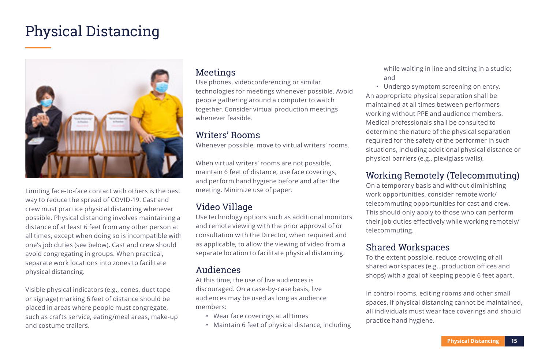# Physical Distancing



Limiting face-to-face contact with others is the best way to reduce the spread of COVID-19. Cast and crew must practice physical distancing whenever possible. Physical distancing involves maintaining a distance of at least 6 feet from any other person at all times, except when doing so is incompatible with one's job duties (see below). Cast and crew should avoid congregating in groups. When practical, separate work locations into zones to facilitate physical distancing.

Visible physical indicators (e.g., cones, duct tape or signage) marking 6 feet of distance should be placed in areas where people must congregate, such as crafts service, eating/meal areas, make-up and costume trailers.

#### **Meetings**

Use phones, videoconferencing or similar technologies for meetings whenever possible. Avoid people gathering around a computer to watch together. Consider virtual production meetings whenever feasible.

#### Writers' Rooms

Whenever possible, move to virtual writers' rooms.

When virtual writers' rooms are not possible, maintain 6 feet of distance, use face coverings, and perform hand hygiene before and after the meeting. Minimize use of paper.

# Video Village

Use technology options such as additional monitors and remote viewing with the prior approval of or consultation with the Director, when required and as applicable, to allow the viewing of video from a separate location to facilitate physical distancing.

#### Audiences

At this time, the use of live audiences is discouraged. On a case-by-case basis, live audiences may be used as long as audience members:

- Wear face coverings at all times
- Maintain 6 feet of physical distance, including

while waiting in line and sitting in a studio; and

• Undergo symptom screening on entry. An appropriate physical separation shall be maintained at all times between performers working without PPE and audience members. Medical professionals shall be consulted to determine the nature of the physical separation required for the safety of the performer in such situations, including additional physical distance or physical barriers (e.g., plexiglass walls).

# Working Remotely (Telecommuting)

On a temporary basis and without diminishing work opportunities, consider remote work/ telecommuting opportunities for cast and crew. This should only apply to those who can perform their job duties effectively while working remotely/ telecommuting.

### Shared Workspaces

To the extent possible, reduce crowding of all shared workspaces (e.g., production offices and shops) with a goal of keeping people 6 feet apart.

In control rooms, editing rooms and other small spaces, if physical distancing cannot be maintained, all individuals must wear face coverings and should practice hand hygiene.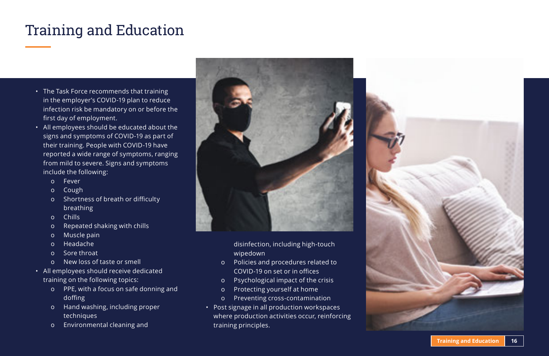# Training and Education

- The Task Force recommends that training in the employer's COVID-19 plan to reduce infection risk be mandatory on or before the first day of employment.
- All employees should be educated about the signs and symptoms of COVID-19 as part of their training. People with COVID-19 have reported a wide range of symptoms, ranging from mild to severe. Signs and symptoms include the following:
	- ο Fever
	- ο Cough
	- ο Shortness of breath or difficulty **breathing**
	- ο Chills
	- ο Repeated shaking with chills
	- ο Muscle pain
	- ο Headache
	- ο Sore throat
	- ο New loss of taste or smell
- All employees should receive dedicated training on the following topics:
	- ο PPE, with a focus on safe donning and doffing
	- ο Hand washing, including proper techniques
	- ο Environmental cleaning and



disinfection, including high-touch wipedown

- ο Policies and procedures related to COVID-19 on set or in offices
- ο Psychological impact of the crisis
- ο Protecting yourself at home
- ο Preventing cross-contamination
- Post signage in all production workspaces where production activities occur, reinforcing training principles.

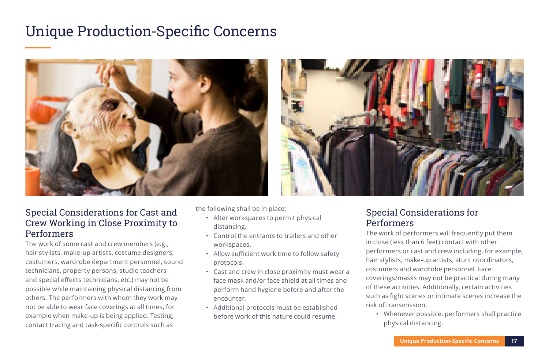# Unique Production-Specific Concerns





### Special Considerations for Cast and Crew Working in Close Proximity to Performers

The work of some cast and crew members (e.g., hair stylists, make-up artists, costume designers, costumers, wardrobe department personnel, sound technicians, property persons, studio teachers and special effects technicians, etc.) may not be possible while maintaining physical distancing from others. The performers with whom they work may not be able to wear face coverings at all times, for example when make-up is being applied. Testing, contact tracing and task-specific controls such as

the following shall be in place:

- Alter workspaces to permit physical distancing.
- Control the entrants to trailers and other workspaces.
- Allow sufficient work time to follow safety protocols.
- Cast and crew in close proximity must wear a face mask and/or face shield at all times and perform hand hygiene before and after the encounter.
- Additional protocols must be established before work of this nature could resume.

### Special Considerations for Performers

The work of performers will frequently put them in close (less than 6 feet) contact with other performers or cast and crew including, for example, hair stylists, make-up artists, stunt coordinators, costumers and wardrobe personnel. Face coverings/masks may not be practical during many of these activities. Additionally, certain activities such as fight scenes or intimate scenes increase the risk of transmission.

• Whenever possible, performers shall practice physical distancing.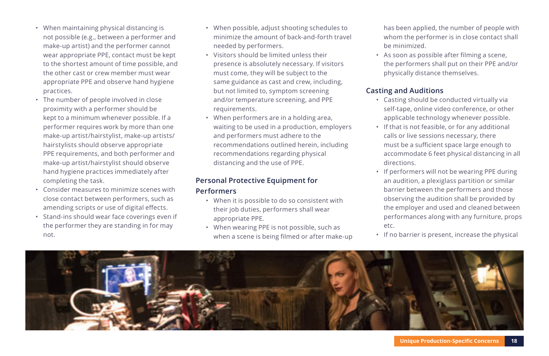- When maintaining physical distancing is not possible (e.g., between a performer and make-up artist) and the performer cannot wear appropriate PPE, contact must be kept to the shortest amount of time possible, and the other cast or crew member must wear appropriate PPE and observe hand hygiene practices.
- The number of people involved in close proximity with a performer should be kept to a minimum whenever possible. If a performer requires work by more than one make-up artist/hairstylist, make-up artists/ hairstylists should observe appropriate PPE requirements, and both performer and make-up artist/hairstylist should observe hand hygiene practices immediately after completing the task.
- Consider measures to minimize scenes with close contact between performers, such as amending scripts or use of digital effects.
- Stand-ins should wear face coverings even if the performer they are standing in for may not.
- When possible, adjust shooting schedules to minimize the amount of back-and-forth travel needed by performers.
- Visitors should be limited unless their presence is absolutely necessary. If visitors must come, they will be subject to the same guidance as cast and crew, including, but not limited to, symptom screening and/or temperature screening, and PPE requirements.
- When performers are in a holding area, waiting to be used in a production, employers and performers must adhere to the recommendations outlined herein, including recommendations regarding physical distancing and the use of PPE.

#### **Personal Protective Equipment for Performers**

- When it is possible to do so consistent with their job duties, performers shall wear appropriate PPE.
- When wearing PPE is not possible, such as when a scene is being filmed or after make-up

has been applied, the number of people with whom the performer is in close contact shall be minimized.

• As soon as possible after filming a scene, the performers shall put on their PPE and/or physically distance themselves.

#### **Casting and Auditions**

- Casting should be conducted virtually via self-tape, online video conference, or other applicable technology whenever possible.
- If that is not feasible, or for any additional calls or live sessions necessary, there must be a sufficient space large enough to accommodate 6 feet physical distancing in all directions.
- If performers will not be wearing PPE during an audition, a plexiglass partition or similar barrier between the performers and those observing the audition shall be provided by the employer and used and cleaned between performances along with any furniture, props etc.
- If no barrier is present, increase the physical

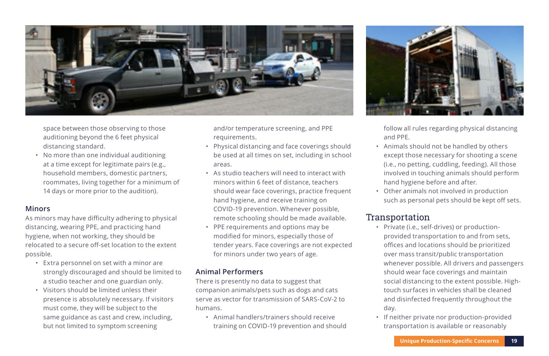

space between those observing to those auditioning beyond the 6 feet physical distancing standard.

• No more than one individual auditioning at a time except for legitimate pairs (e.g., household members, domestic partners, roommates, living together for a minimum of 14 days or more prior to the audition).

#### **Minors**

As minors may have difficulty adhering to physical distancing, wearing PPE, and practicing hand hygiene, when not working, they should be relocated to a secure off-set location to the extent possible.

- Extra personnel on set with a minor are strongly discouraged and should be limited to a studio teacher and one guardian only.
- Visitors should be limited unless their presence is absolutely necessary. If visitors must come, they will be subject to the same guidance as cast and crew, including, but not limited to symptom screening

and/or temperature screening, and PPE requirements.

- Physical distancing and face coverings should be used at all times on set, including in school areas.
- As studio teachers will need to interact with minors within 6 feet of distance, teachers should wear face coverings, practice frequent hand hygiene, and receive training on COVID-19 prevention. Whenever possible, remote schooling should be made available.
- PPE requirements and options may be modified for minors, especially those of tender years. Face coverings are not expected for minors under two years of age.

#### **Animal Performers**

There is presently no data to suggest that companion animals/pets such as dogs and cats serve as vector for transmission of SARS-CoV-2 to humans.

• Animal handlers/trainers should receive training on COVID-19 prevention and should



follow all rules regarding physical distancing and PPE.

- Animals should not be handled by others except those necessary for shooting a scene (i.e., no petting, cuddling, feeding). All those involved in touching animals should perform hand hygiene before and after.
- Other animals not involved in production such as personal pets should be kept off sets.

#### Transportation

- Private (i.e., self-drives) or productionprovided transportation to and from sets, offices and locations should be prioritized over mass transit/public transportation whenever possible. All drivers and passengers should wear face coverings and maintain social distancing to the extent possible. Hightouch surfaces in vehicles shall be cleaned and disinfected frequently throughout the day.
- If neither private nor production-provided transportation is available or reasonably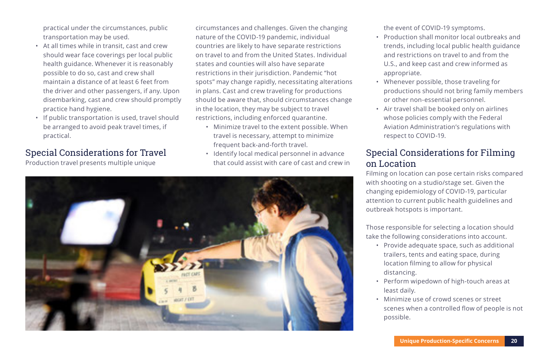practical under the circumstances, public transportation may be used.

- At all times while in transit, cast and crew should wear face coverings per local public health guidance. Whenever it is reasonably possible to do so, cast and crew shall maintain a distance of at least 6 feet from the driver and other passengers, if any. Upon disembarking, cast and crew should promptly practice hand hygiene.
- If public transportation is used, travel should be arranged to avoid peak travel times, if practical.

### Special Considerations for Travel

Production travel presents multiple unique

circumstances and challenges. Given the changing nature of the COVID-19 pandemic, individual countries are likely to have separate restrictions on travel to and from the United States. Individual states and counties will also have separate restrictions in their jurisdiction. Pandemic "hot spots" may change rapidly, necessitating alterations in plans. Cast and crew traveling for productions should be aware that, should circumstances change in the location, they may be subject to travel restrictions, including enforced quarantine.

- Minimize travel to the extent possible. When travel is necessary, attempt to minimize frequent back-and-forth travel.
- Identify local medical personnel in advance that could assist with care of cast and crew in



the event of COVID-19 symptoms.

- Production shall monitor local outbreaks and trends, including local public health guidance and restrictions on travel to and from the U.S., and keep cast and crew informed as appropriate.
- Whenever possible, those traveling for productions should not bring family members or other non-essential personnel.
- Air travel shall be booked only on airlines whose policies comply with the Federal Aviation Administration's regulations with respect to COVID-19.

### Special Considerations for Filming on Location

Filming on location can pose certain risks compared with shooting on a studio/stage set. Given the changing epidemiology of COVID-19, particular attention to current public health guidelines and outbreak hotspots is important.

Those responsible for selecting a location should take the following considerations into account.

- Provide adequate space, such as additional trailers, tents and eating space, during location filming to allow for physical distancing.
- Perform wipedown of high-touch areas at least daily.
- Minimize use of crowd scenes or street scenes when a controlled flow of people is not possible.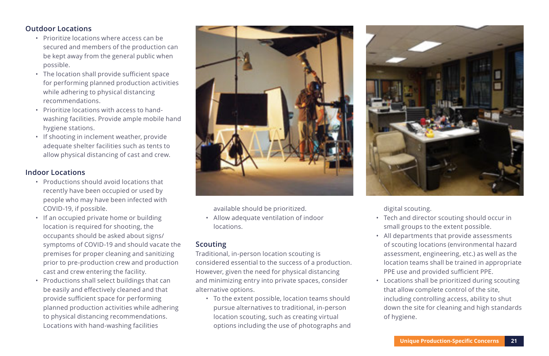#### **Outdoor Locations**

- Prioritize locations where access can be secured and members of the production can be kept away from the general public when possible.
- The location shall provide sufficient space for performing planned production activities while adhering to physical distancing recommendations.
- Prioritize locations with access to handwashing facilities. Provide ample mobile hand hygiene stations.
- If shooting in inclement weather, provide adequate shelter facilities such as tents to allow physical distancing of cast and crew.

#### **Indoor Locations**

- Productions should avoid locations that recently have been occupied or used by people who may have been infected with COVID-19, if possible.
- If an occupied private home or building location is required for shooting, the occupants should be asked about signs/ symptoms of COVID-19 and should vacate the premises for proper cleaning and sanitizing prior to pre-production crew and production cast and crew entering the facility.
- Productions shall select buildings that can be easily and effectively cleaned and that provide sufficient space for performing planned production activities while adhering to physical distancing recommendations. Locations with hand-washing facilities



available should be prioritized.

• Allow adequate ventilation of indoor locations.

#### **Scouting**

Traditional, in-person location scouting is considered essential to the success of a production. However, given the need for physical distancing and minimizing entry into private spaces, consider alternative options.

• To the extent possible, location teams should pursue alternatives to traditional, in-person location scouting, such as creating virtual options including the use of photographs and



digital scouting.

- Tech and director scouting should occur in small groups to the extent possible.
- All departments that provide assessments of scouting locations (environmental hazard assessment, engineering, etc.) as well as the location teams shall be trained in appropriate PPE use and provided sufficient PPE.
- Locations shall be prioritized during scouting that allow complete control of the site, including controlling access, ability to shut down the site for cleaning and high standards of hygiene.